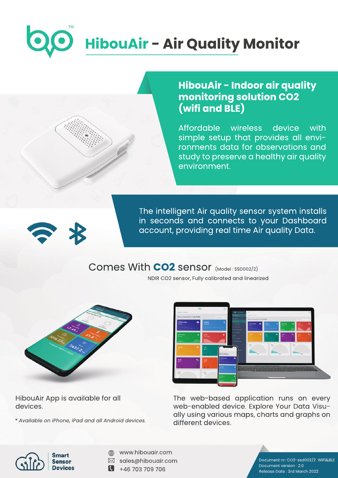# **HibouAir - Air Quality Monitor**

# **HibouAir - Indoor air quality monitoring solution CO2 (wifiandBLE)**

Affordable wireless device with simple setup that provides all environments data for observations and study to preserve a healthy air quality environment.



The intelligent Air quality sensor system installs in seconds and connects to your Dashboard account, providing real time Air quality Data.

# Comes With **CO2** sensor (Model: SSD002/2)

NDIR CO2 sensor, Fully calibrated and linearized



HibouAir App is available for all devices.

*\*AvailableoniPhone,iPadandallAndroiddevices.*



The web-based application runs on every web-enabled device. Explore Your Data Visually using various maps, charts and graphs on different devices.



- www.hibouair.com ⊕
- $\boxtimes$  sales@hibouair.com
- $\bullet$  +46 703 709 706

Document nr: CO2-ssd002/2 WIFI&BLE Document version: 2.0 Release Date: 3rd March 2022